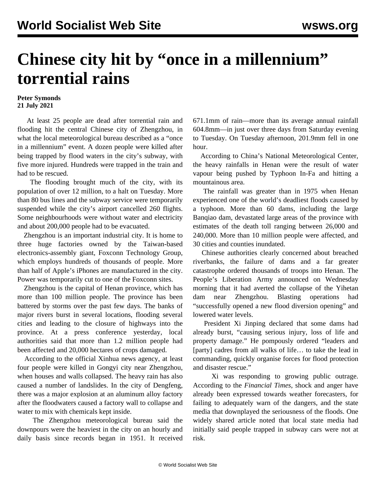## **Chinese city hit by "once in a millennium" torrential rains**

## **Peter Symonds 21 July 2021**

 At least 25 people are dead after torrential rain and flooding hit the central Chinese city of Zhengzhou, in what the local meteorological bureau described as a "once in a millennium" event. A dozen people were killed after being trapped by flood waters in the city's subway, with five more injured. Hundreds were trapped in the train and had to be rescued.

 The flooding brought much of the city, with its population of over 12 million, to a halt on Tuesday. More than 80 bus lines and the subway service were temporarily suspended while the city's airport cancelled 260 flights. Some neighbourhoods were without water and electricity and about 200,000 people had to be evacuated.

 Zhengzhou is an important industrial city. It is home to three huge factories owned by the Taiwan-based electronics-assembly giant, Foxconn Technology Group, which employs hundreds of thousands of people. More than half of Apple's iPhones are manufactured in the city. Power was temporarily cut to one of the Foxconn sites.

 Zhengzhou is the capital of Henan province, which has more than 100 million people. The province has been battered by storms over the past few days. The banks of major rivers burst in several locations, flooding several cities and leading to the closure of highways into the province. At a press conference yesterday, local authorities said that more than 1.2 million people had been affected and 20,000 hectares of crops damaged.

 According to the official Xinhua news agency, at least four people were killed in Gongyi city near Zhengzhou, when houses and walls collapsed. The heavy rain has also caused a number of landslides. In the city of Dengfeng, there was a major explosion at an aluminum alloy factory after the floodwaters caused a factory wall to collapse and water to mix with chemicals kept inside.

 The Zhengzhou meteorological bureau said the downpours were the heaviest in the city on an hourly and daily basis since records began in 1951. It received 671.1mm of rain—more than its average annual rainfall 604.8mm—in just over three days from Saturday evening to Tuesday. On Tuesday afternoon, 201.9mm fell in one hour.

 According to China's National Meteorological Center, the heavy rainfalls in Henan were the result of water vapour being pushed by Typhoon In-Fa and hitting a mountainous area.

 The rainfall was greater than in 1975 when Henan experienced one of the world's deadliest floods caused by a typhoon. More than 60 dams, including the large Banqiao dam, devastated large areas of the province with estimates of the death toll ranging between 26,000 and 240,000. More than 10 million people were affected, and 30 cities and counties inundated.

 Chinese authorities clearly concerned about breached riverbanks, the failure of dams and a far greater catastrophe ordered thousands of troops into Henan. The People's Liberation Army announced on Wednesday morning that it had averted the collapse of the Yihetan dam near Zhengzhou. Blasting operations had "successfully opened a new flood diversion opening" and lowered water levels.

 President Xi Jinping declared that some dams had already burst, "causing serious injury, loss of life and property damage." He pompously ordered "leaders and [party] cadres from all walks of life... to take the lead in commanding, quickly organise forces for flood protection and disaster rescue."

 Xi was responding to growing public outrage. According to the *Financial Times*, shock and anger have already been expressed towards weather forecasters, for failing to adequately warn of the dangers, and the state media that downplayed the seriousness of the floods. One widely shared article noted that local state media had initially said people trapped in subway cars were not at risk.